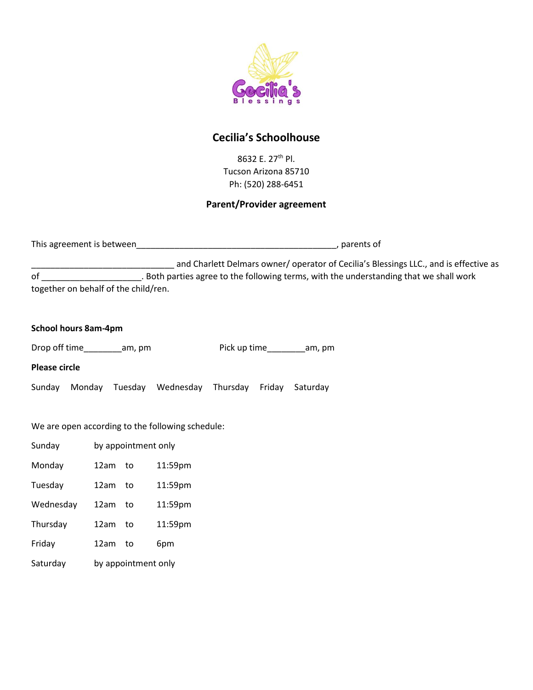

### **Cecilia's Schoolhouse**

8632 E. 27th Pl. Tucson Arizona 85710 Ph: (520) 288-6451

#### **Parent/Provider agreement**

| This agreement is between |  | parents of |
|---------------------------|--|------------|
|---------------------------|--|------------|

and Charlett Delmars owner/ operator of Cecilia's Blessings LLC., and is effective as of \_\_\_\_\_\_\_\_\_\_\_\_\_\_\_\_\_\_\_\_\_. Both parties agree to the following terms, with the understanding that we shall work together on behalf of the child/ren.

|  |  | <b>School hours 8am-4pm</b> |
|--|--|-----------------------------|
|--|--|-----------------------------|

| Drop off time | am, pm | Pick up time | am, pm |
|---------------|--------|--------------|--------|
|---------------|--------|--------------|--------|

**Please circle** 

Sunday Monday Tuesday Wednesday Thursday Friday Saturday

We are open according to the following schedule:

| Sunday    | by appointment only |    |         |
|-----------|---------------------|----|---------|
| Monday    | 12am                | to | 11:59pm |
| Tuesday   | 12am                | to | 11:59pm |
| Wednesday | 12am                | to | 11:59pm |
| Thursday  | 12am                | to | 11:59pm |
| Friday    | 12am                | to | 6pm     |
| Saturday  | by appointment only |    |         |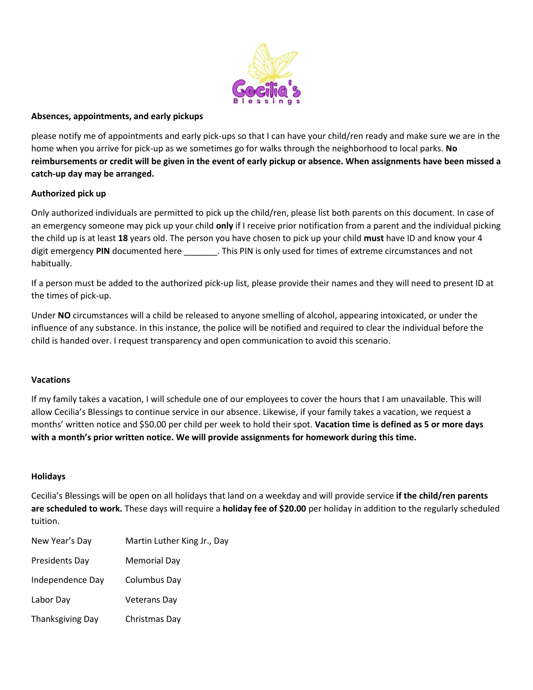

#### **Absences, appointments, and early pickups**

please notify me of appointments and early pick-ups so that I can have your child/ren ready and make sure we are in the home when you arrive for pick-up as we sometimes go for walks through the neighborhood to local parks. **No reimbursements or credit will be given in the event of early pickup or absence. When assignments have been missed a catch-up day may be arranged.**

#### **Authorized pick up**

Only authorized individuals are permitted to pick up the child/ren, please list both parents on this document. In case of an emergency someone may pick up your child **only** if I receive prior notification from a parent and the individual picking the child up is at least **18** years old. The person you have chosen to pick up your child **must** have ID and know your 4 digit emergency **PIN** documented here \_\_\_\_\_\_\_. This PIN is only used for times of extreme circumstances and not habitually.

If a person must be added to the authorized pick-up list, please provide their names and they will need to present ID at the times of pick-up.

Under **NO** circumstances will a child be released to anyone smelling of alcohol, appearing intoxicated, or under the influence of any substance. In this instance, the police will be notified and required to clear the individual before the child is handed over. I request transparency and open communication to avoid this scenario.

#### **Vacations**

If my family takes a vacation, I will schedule one of our employees to cover the hours that I am unavailable. This will allow Cecilia's Blessings to continue service in our absence. Likewise, if your family takes a vacation, we request a months' written notice and \$50.00 per child per week to hold their spot. **Vacation time is defined as 5 or more days with a month's prior written notice. We will provide assignments for homework during this time.**

#### **Holidays**

Cecilia's Blessings will be open on all holidays that land on a weekday and will provide service **if the child/ren parents are scheduled to work.** These days will require a **holiday fee of \$20.00** per holiday in addition to the regularly scheduled tuition.

| New Year's Day          | Martin Luther King Jr., Day |
|-------------------------|-----------------------------|
| Presidents Day          | Memorial Day                |
| Independence Day        | Columbus Day                |
| Labor Day               | <b>Veterans Dav</b>         |
| <b>Thanksgiving Day</b> | Christmas Day               |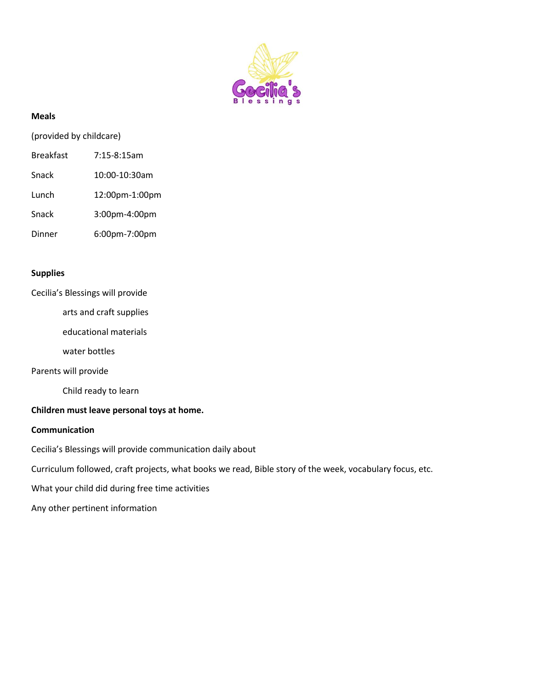

#### **Meals**

(provided by childcare)

- Breakfast 7:15-8:15am
- Snack 10:00-10:30am
- Lunch 12:00pm-1:00pm
- Snack 3:00pm-4:00pm
- Dinner 6:00pm-7:00pm

#### **Supplies**

Cecilia's Blessings will provide

arts and craft supplies

educational materials

water bottles

Parents will provide

Child ready to learn

#### **Children must leave personal toys at home.**

#### **Communication**

Cecilia's Blessings will provide communication daily about

Curriculum followed, craft projects, what books we read, Bible story of the week, vocabulary focus, etc.

What your child did during free time activities

Any other pertinent information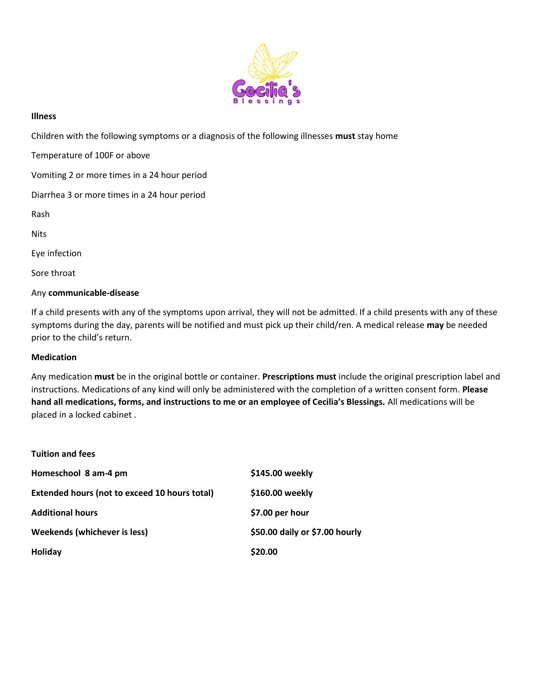

#### **Illness**

Children with the following symptoms or a diagnosis of the following illnesses **must** stay home

Temperature of 100F or above

Vomiting 2 or more times in a 24 hour period

Diarrhea 3 or more times in a 24 hour period

Rash

**Nits** 

Eye infection

Sore throat

#### Any **communicable-disease**

If a child presents with any of the symptoms upon arrival, they will not be admitted. If a child presents with any of these symptoms during the day, parents will be notified and must pick up their child/ren. A medical release **may** be needed prior to the child's return.

#### **Medication**

Any medication **must** be in the original bottle or container. **Prescriptions must** include the original prescription label and instructions. Medications of any kind will only be administered with the completion of a written consent form. **Please hand all medications, forms, and instructions to me or an employee of Cecilia's Blessings.** All medications will be placed in a locked cabinet .

| <b>Tuition and fees</b>                              |                                |
|------------------------------------------------------|--------------------------------|
| Homeschool 8 am-4 pm                                 | \$145.00 weekly                |
| <b>Extended hours (not to exceed 10 hours total)</b> | \$160.00 weekly                |
| <b>Additional hours</b>                              | \$7.00 per hour                |
| Weekends (whichever is less)                         | \$50.00 daily or \$7.00 hourly |
| <b>Holiday</b>                                       | \$20.00                        |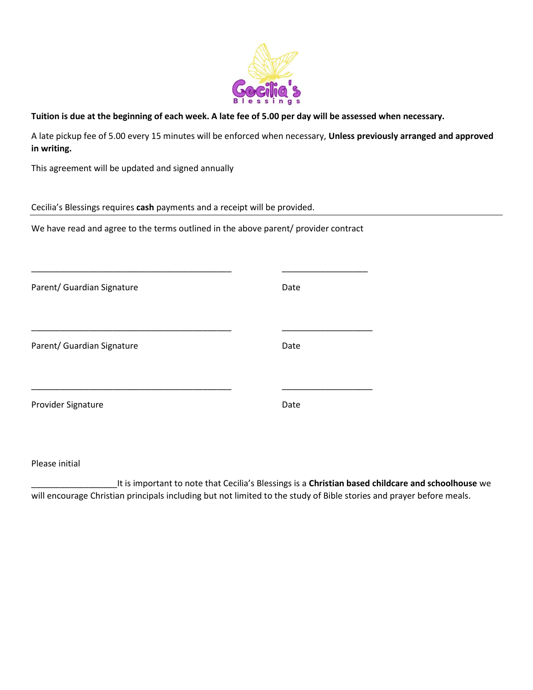

**Tuition is due at the beginning of each week. A late fee of 5.00 per day will be assessed when necessary.**

A late pickup fee of 5.00 every 15 minutes will be enforced when necessary, **Unless previously arranged and approved in writing.**

This agreement will be updated and signed annually

Cecilia's Blessings requires **cash** payments and a receipt will be provided.

We have read and agree to the terms outlined in the above parent/ provider contract

| Parent/ Guardian Signature | Date |
|----------------------------|------|
| Parent/ Guardian Signature | Date |
| Provider Signature         | Date |

Please initial

\_\_\_\_\_\_\_\_\_\_\_\_\_\_\_\_\_\_It is important to note that Cecilia's Blessings is a **Christian based childcare and schoolhouse** we will encourage Christian principals including but not limited to the study of Bible stories and prayer before meals.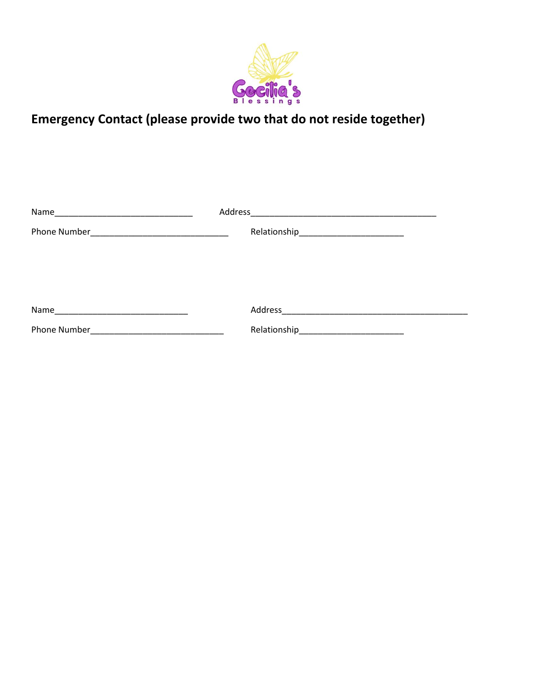

## **Emergency Contact (please provide two that do not reside together)**

| Name                                                                                                                          | Address<br><u> 2001 - Jan Barnett, mars et al. (</u> |
|-------------------------------------------------------------------------------------------------------------------------------|------------------------------------------------------|
| Phone Number                                                                                                                  |                                                      |
|                                                                                                                               |                                                      |
|                                                                                                                               |                                                      |
|                                                                                                                               |                                                      |
|                                                                                                                               |                                                      |
| Name<br><u> 1980 - Johann Barbara, martin amerikan basal dan berasal dalam basal dalam basal dalam basal dalam basal dala</u> |                                                      |
| Phone Number                                                                                                                  |                                                      |
|                                                                                                                               |                                                      |